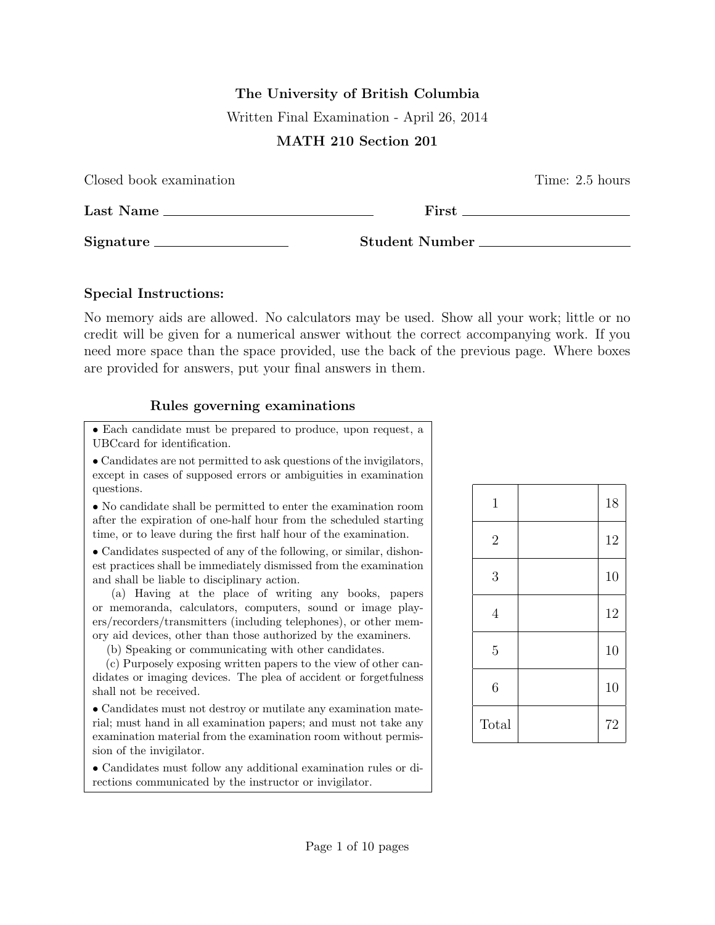# The University of British Columbia Written Final Examination - April 26, 2014

## MATH 210 Section 201

| Closed book examination |                                                                                                                                                                                                                                | Time: 2.5 hours |
|-------------------------|--------------------------------------------------------------------------------------------------------------------------------------------------------------------------------------------------------------------------------|-----------------|
| Last Name               | First the contract of the contract of the contract of the contract of the contract of the contract of the contract of the contract of the contract of the contract of the contract of the contract of the contract of the cont |                 |
| Signature               | Student Number                                                                                                                                                                                                                 |                 |

#### Special Instructions:

No memory aids are allowed. No calculators may be used. Show all your work; little or no credit will be given for a numerical answer without the correct accompanying work. If you need more space than the space provided, use the back of the previous page. Where boxes are provided for answers, put your final answers in them.

## Rules governing examinations

• Each candidate must be prepared to produce, upon request, a UBCcard for identification.

• Candidates are not permitted to ask questions of the invigilators, except in cases of supposed errors or ambiguities in examination questions.

• No candidate shall be permitted to enter the examination room after the expiration of one-half hour from the scheduled starting time, or to leave during the first half hour of the examination.

• Candidates suspected of any of the following, or similar, dishonest practices shall be immediately dismissed from the examination and shall be liable to disciplinary action.

(a) Having at the place of writing any books, papers or memoranda, calculators, computers, sound or image players/recorders/transmitters (including telephones), or other memory aid devices, other than those authorized by the examiners.

(b) Speaking or communicating with other candidates.

(c) Purposely exposing written papers to the view of other candidates or imaging devices. The plea of accident or forgetfulness shall not be received.

• Candidates must not destroy or mutilate any examination material; must hand in all examination papers; and must not take any examination material from the examination room without permission of the invigilator.

• Candidates must follow any additional examination rules or directions communicated by the instructor or invigilator.

| $\mathbf 1$    | 18 |
|----------------|----|
| $\overline{2}$ | 12 |
| 3              | 10 |
| $\overline{4}$ | 12 |
| $\overline{5}$ | 10 |
| 6              | 10 |
| Total          | 72 |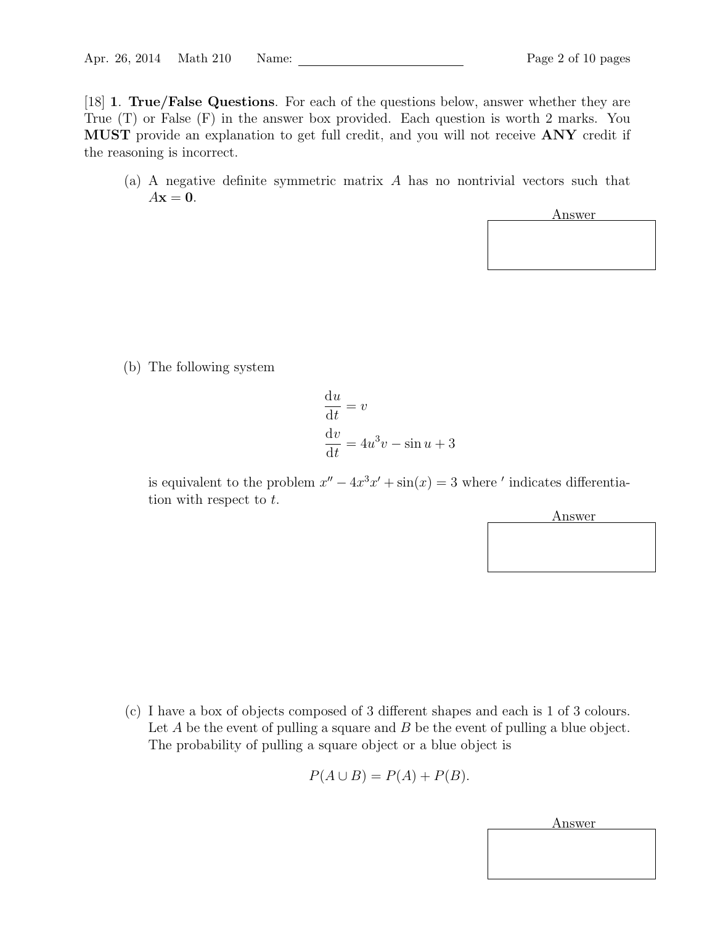[18] 1. True/False Questions. For each of the questions below, answer whether they are True (T) or False (F) in the answer box provided. Each question is worth 2 marks. You MUST provide an explanation to get full credit, and you will not receive ANY credit if the reasoning is incorrect.

(a) A negative definite symmetric matrix A has no nontrivial vectors such that  $A\mathbf{x} = \mathbf{0}$ .



(b) The following system

$$
\frac{du}{dt} = v
$$

$$
\frac{dv}{dt} = 4u^3v - \sin u + 3
$$

is equivalent to the problem  $x'' - 4x^3x' + \sin(x) = 3$  where ' indicates differentiation with respect to t.



(c) I have a box of objects composed of 3 different shapes and each is 1 of 3 colours. Let  $A$  be the event of pulling a square and  $B$  be the event of pulling a blue object. The probability of pulling a square object or a blue object is

$$
P(A \cup B) = P(A) + P(B).
$$

Answer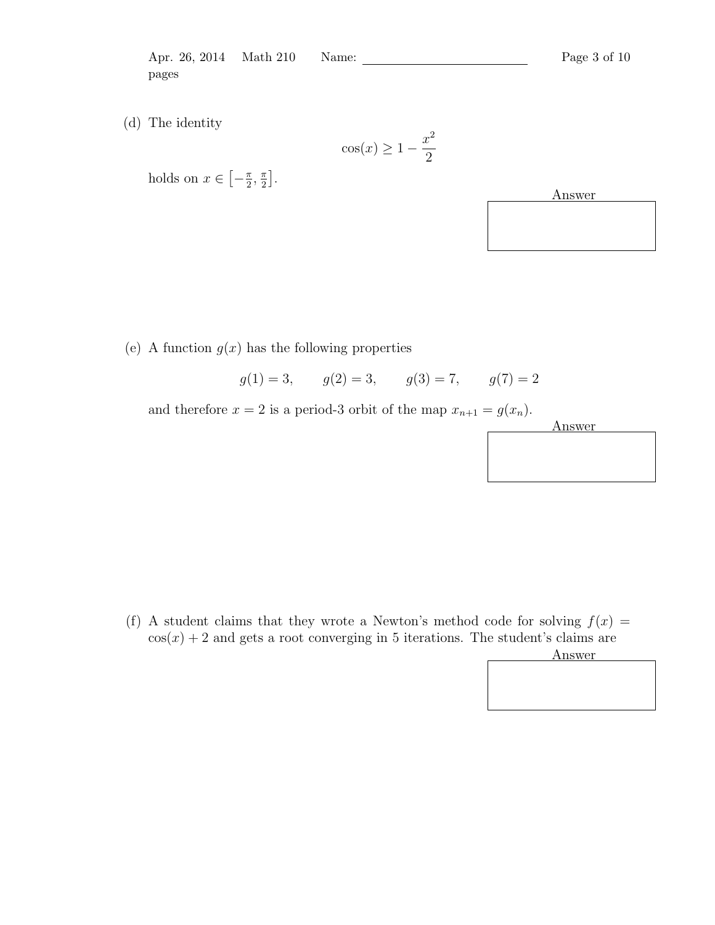Apr. 26, 2014 Math 210 Name: 2014 Math 210 Name: Page 3 of 10 pages

(d) The identity

$$
\cos(x) \ge 1 - \frac{x^2}{2}
$$



(e) A function  $g(x)$  has the following properties

$$
g(1) = 3
$$
,  $g(2) = 3$ ,  $g(3) = 7$ ,  $g(7) = 2$ 

and therefore  $x = 2$  is a period-3 orbit of the map  $x_{n+1} = g(x_n)$ .



(f) A student claims that they wrote a Newton's method code for solving  $f(x) =$  $cos(x) + 2$  and gets a root converging in 5 iterations. The student's claims are

Answer

holds on  $x \in \left[-\frac{\pi}{2}\right]$  $\frac{\pi}{2}$ ,  $\frac{\pi}{2}$  $\frac{\pi}{2}$ .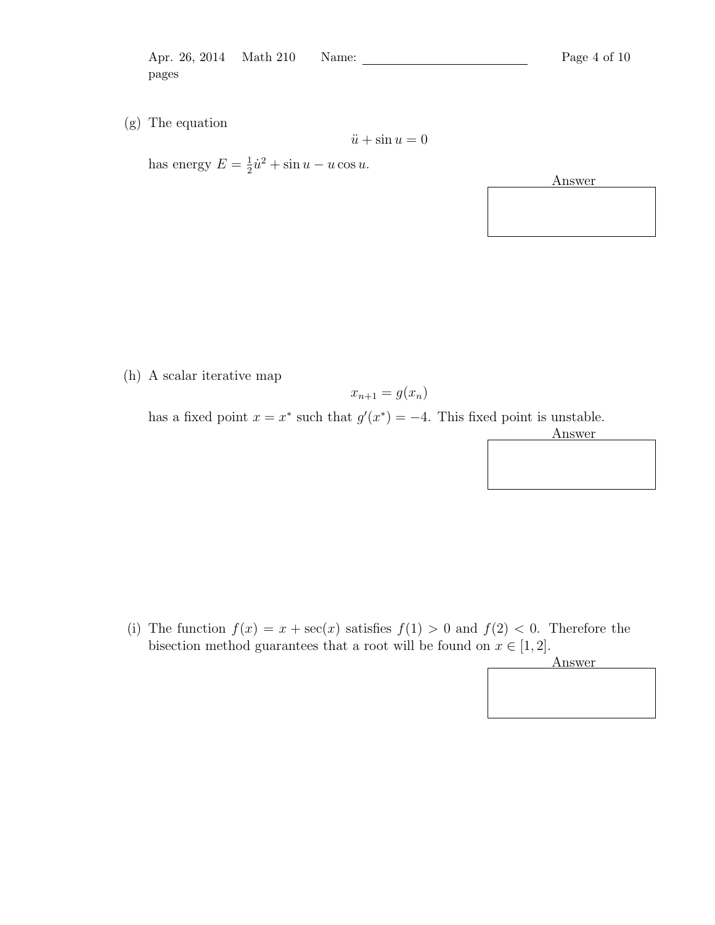Apr. 26, 2014 Math 210 Name: Page 4 of 10 pages

(g) The equation

has energy  $E = \frac{1}{2}$  $\frac{1}{2}\dot{u}^2 + \sin u - u\cos u.$ 

Answer

(h) A scalar iterative map

$$
x_{n+1} = g(x_n)
$$

 $\ddot{u} + \sin u = 0$ 

has a fixed point  $x = x^*$  such that  $g'(x^*) = -4$ . This fixed point is unstable.



(i) The function  $f(x) = x + \sec(x)$  satisfies  $f(1) > 0$  and  $f(2) < 0$ . Therefore the bisection method guarantees that a root will be found on  $x \in [1, 2]$ .

Answer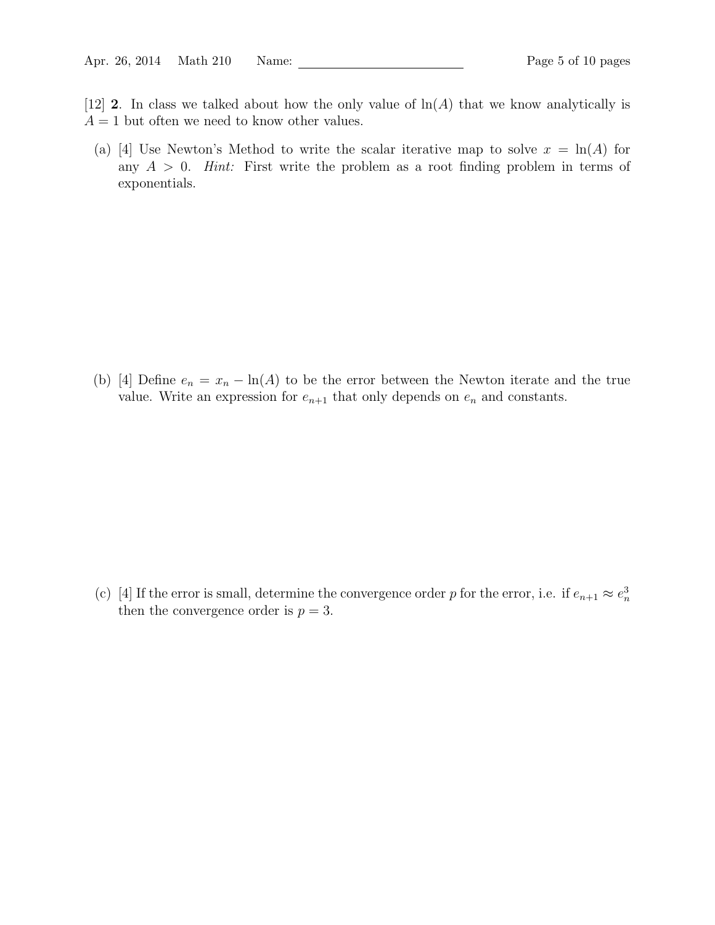- [12] 2. In class we talked about how the only value of  $\ln(A)$  that we know analytically is  $A = 1$  but often we need to know other values.
	- (a) [4] Use Newton's Method to write the scalar iterative map to solve  $x = \ln(A)$  for any  $A > 0$ . *Hint*: First write the problem as a root finding problem in terms of exponentials.

(b) [4] Define  $e_n = x_n - \ln(A)$  to be the error between the Newton iterate and the true value. Write an expression for  $e_{n+1}$  that only depends on  $e_n$  and constants.

(c) [4] If the error is small, determine the convergence order p for the error, i.e. if  $e_{n+1} \approx e_n^3$ then the convergence order is  $p = 3$ .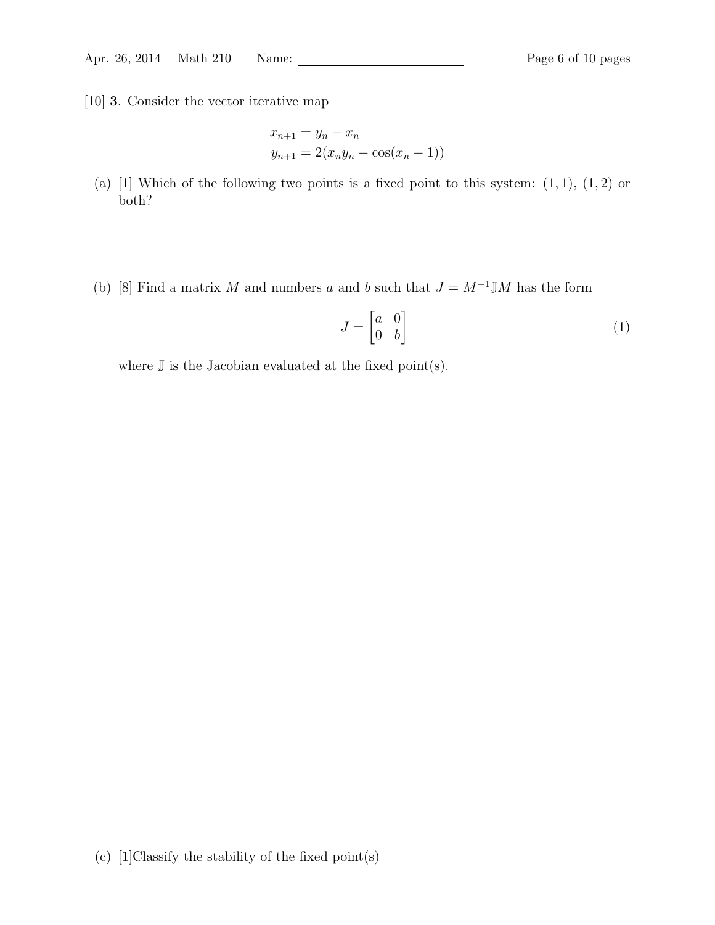[10] 3. Consider the vector iterative map

$$
x_{n+1} = y_n - x_n
$$
  

$$
y_{n+1} = 2(x_n y_n - \cos(x_n - 1))
$$

- (a) [1] Which of the following two points is a fixed point to this system:  $(1, 1)$ ,  $(1, 2)$  or both?
- (b) [8] Find a matrix M and numbers a and b such that  $J = M^{-1} \mathbb{J}M$  has the form

$$
J = \begin{bmatrix} a & 0 \\ 0 & b \end{bmatrix} \tag{1}
$$

where  $\mathbb J$  is the Jacobian evaluated at the fixed point(s).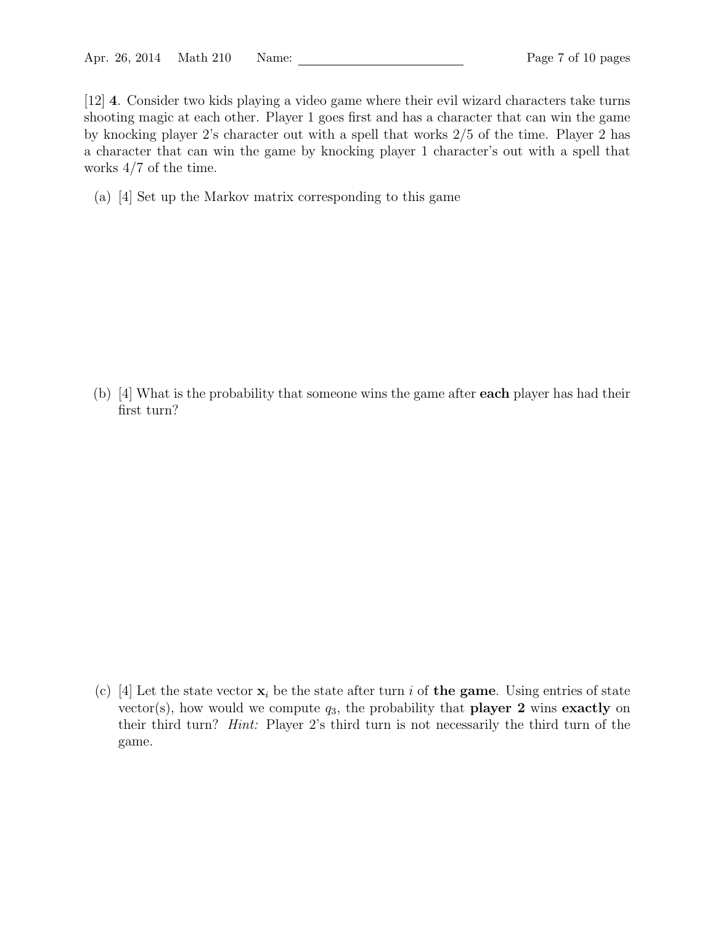[12] 4. Consider two kids playing a video game where their evil wizard characters take turns shooting magic at each other. Player 1 goes first and has a character that can win the game by knocking player 2's character out with a spell that works 2/5 of the time. Player 2 has a character that can win the game by knocking player 1 character's out with a spell that works 4/7 of the time.

(a) [4] Set up the Markov matrix corresponding to this game

(b) [4] What is the probability that someone wins the game after each player has had their first turn?

(c) [4] Let the state vector  $x_i$  be the state after turn i of the game. Using entries of state vector(s), how would we compute  $q_3$ , the probability that **player 2** wins exactly on their third turn? Hint: Player 2's third turn is not necessarily the third turn of the game.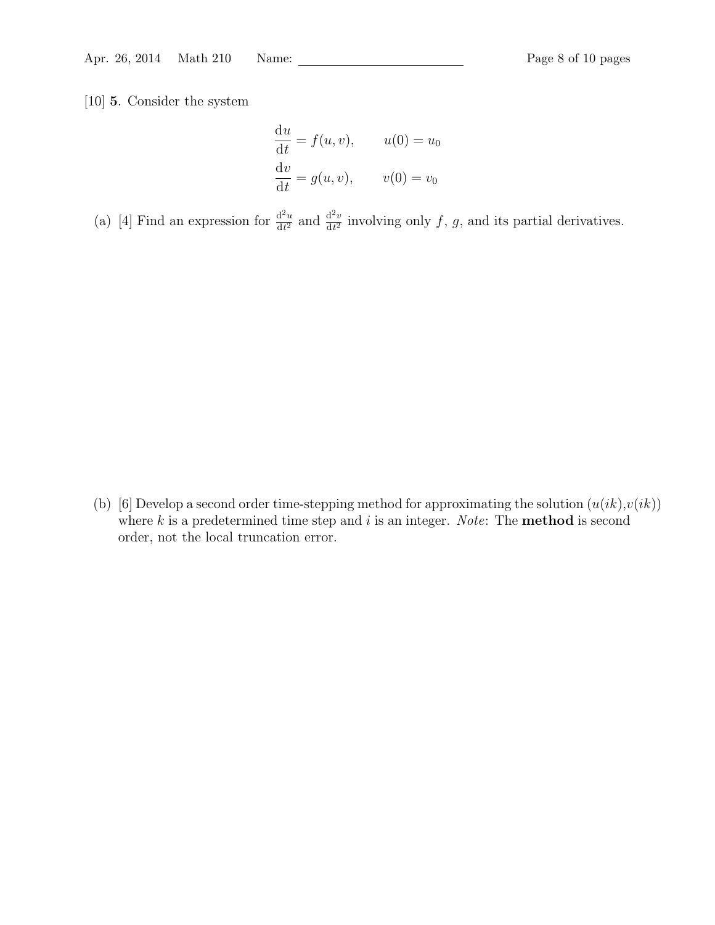[10] 5. Consider the system

$$
\frac{du}{dt} = f(u, v), \t u(0) = u_0
$$
  

$$
\frac{dv}{dt} = g(u, v), \t v(0) = v_0
$$

(a) [4] Find an expression for  $\frac{d^2u}{dt^2}$  $rac{\mathrm{d}^2 u}{\mathrm{d}t^2}$  and  $rac{\mathrm{d}^2 v}{\mathrm{d}t^2}$  $\frac{d^2 v}{dt^2}$  involving only f, g, and its partial derivatives.

(b) [6] Develop a second order time-stepping method for approximating the solution  $(u(ik),v(ik))$ where  $k$  is a predetermined time step and  $i$  is an integer. Note: The **method** is second order, not the local truncation error.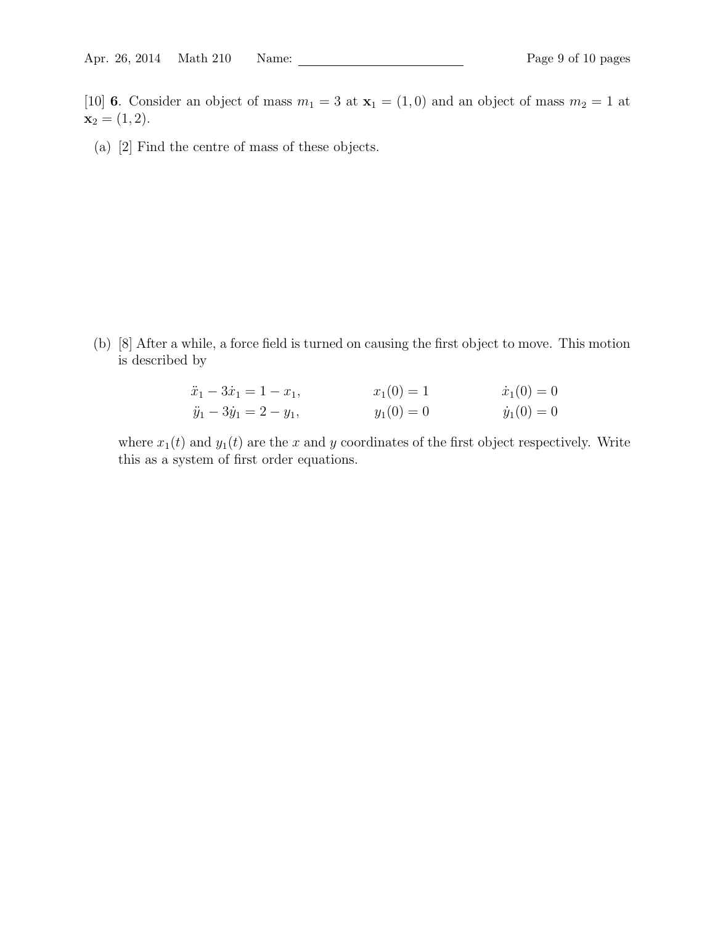[10] 6. Consider an object of mass  $m_1 = 3$  at  $\mathbf{x}_1 = (1,0)$  and an object of mass  $m_2 = 1$  at  $x_2 = (1, 2).$ 

(a) [2] Find the centre of mass of these objects.

(b) [8] After a while, a force field is turned on causing the first object to move. This motion is described by

| $\ddot{x}_1 - 3\dot{x}_1 = 1 - x_1,$ | $x_1(0)=1$   | $\dot{x}_1(0) = 0$ |
|--------------------------------------|--------------|--------------------|
| $\ddot{y}_1 - 3\dot{y}_1 = 2 - y_1,$ | $y_1(0) = 0$ | $\dot{y}_1(0) = 0$ |

where  $x_1(t)$  and  $y_1(t)$  are the x and y coordinates of the first object respectively. Write this as a system of first order equations.